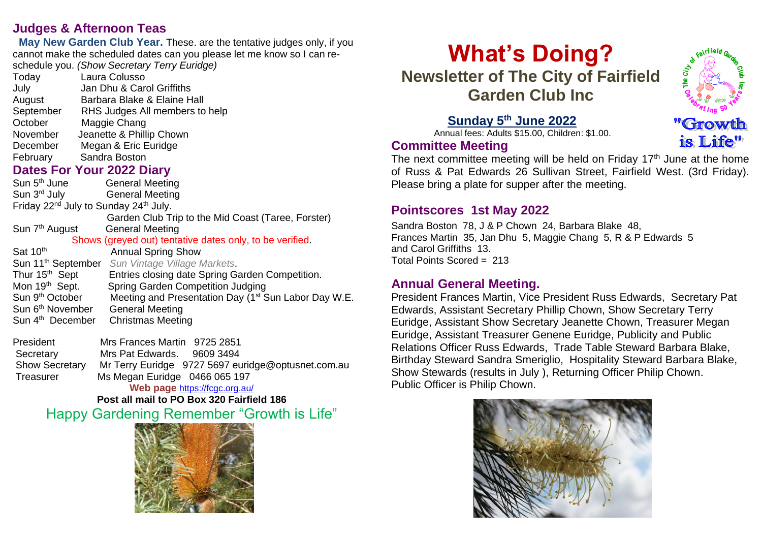# **Judges & Afternoon Teas**

 **May New Garden Club Year.** These. are the tentative judges only, if you cannot make the scheduled dates can you please let me know so I can reschedule you. *(Show Secretary Terry Euridge)*

| Today                                                                                                                                                                                                                              | Laura Colusso                                                                    |
|------------------------------------------------------------------------------------------------------------------------------------------------------------------------------------------------------------------------------------|----------------------------------------------------------------------------------|
| <b>July Sandburg Street Street Street Street Street Street Street Street Street Street Street Street Street Street Street Street Street Street Street Street Street Street Street Street Street Street Street Street Street St</b> | Jan Dhu & Carol Griffiths                                                        |
|                                                                                                                                                                                                                                    | August Barbara Blake & Elaine Hall                                               |
|                                                                                                                                                                                                                                    | September RHS Judges All members to help                                         |
| October Maggie Chang                                                                                                                                                                                                               |                                                                                  |
|                                                                                                                                                                                                                                    | November Jeanette & Phillip Chown                                                |
|                                                                                                                                                                                                                                    | December Megan & Eric Euridge                                                    |
| February Sandra Boston                                                                                                                                                                                                             |                                                                                  |
| <b>Dates For Your 2022 Diary</b>                                                                                                                                                                                                   |                                                                                  |
|                                                                                                                                                                                                                                    | Sun 5 <sup>th</sup> June <b>General Meeting</b>                                  |
|                                                                                                                                                                                                                                    | Sun 3 <sup>rd</sup> July <b>General Meeting</b>                                  |
| Friday 22 <sup>nd</sup> July to Sunday 24 <sup>th</sup> July.                                                                                                                                                                      |                                                                                  |
|                                                                                                                                                                                                                                    | Garden Club Trip to the Mid Coast (Taree, Forster)                               |
|                                                                                                                                                                                                                                    | Sun 7 <sup>th</sup> August General Meeting                                       |
| Shows (greyed out) tentative dates only, to be verified.                                                                                                                                                                           |                                                                                  |
| Sat 10th                                                                                                                                                                                                                           | <b>Annual Spring Show</b>                                                        |
|                                                                                                                                                                                                                                    | Sun 11 <sup>th</sup> September Sun Vintage Village Markets.                      |
|                                                                                                                                                                                                                                    | Thur 15 <sup>th</sup> Sept Entries closing date Spring Garden Competition.       |
| Mon 19 <sup>th</sup> Sept.                                                                                                                                                                                                         | Spring Garden Competition Judging                                                |
|                                                                                                                                                                                                                                    | Sun 9th October Meeting and Presentation Day (1 <sup>st</sup> Sun Labor Day W.E. |
|                                                                                                                                                                                                                                    | Sun 6th November General Meeting                                                 |
|                                                                                                                                                                                                                                    | Sun 4 <sup>th</sup> December Christmas Meeting                                   |
|                                                                                                                                                                                                                                    |                                                                                  |

President Mrs Frances Martin 9725 2851 Secretary Mrs Pat Edwards. 9609 3494 Show Secretary Mr Terry Euridge 9727 5697 euridge@optusnet.com.au Treasurer Ms Megan Euridge 0466 065 197 **Web page** <https://fcgc.org.au/>

# **Post all mail to PO Box 320 Fairfield 186** Happy Gardening Remember "Growth is Life"



# **What's Doing? Newsletter of The City of Fairfield Garden Club Inc**



is Life"

# **Sunday 5 th June 2022**

 Annual fees: Adults \$15.00, Children: \$1.00. **Committee Meeting**

The next committee meeting will be held on Friday  $17<sup>th</sup>$  June at the home of Russ & Pat Edwards 26 Sullivan Street, Fairfield West. (3rd Friday). Please bring a plate for supper after the meeting.

# **Pointscores 1st May 2022**

Sandra Boston 78, J & P Chown 24, Barbara Blake 48, Frances Martin 35, Jan Dhu 5, Maggie Chang 5, R & P Edwards 5 and Carol Griffiths 13. Total Points Scored = 213

# **Annual General Meeting.**

President Frances Martin, Vice President Russ Edwards, Secretary Pat Edwards, Assistant Secretary Phillip Chown, Show Secretary Terry Euridge, Assistant Show Secretary Jeanette Chown, Treasurer Megan Euridge, Assistant Treasurer Genene Euridge, Publicity and Public Relations Officer Russ Edwards, Trade Table Steward Barbara Blake, Birthday Steward Sandra Smeriglio, Hospitality Steward Barbara Blake, Show Stewards (results in July ), Returning Officer Philip Chown. Public Officer is Philip Chown.